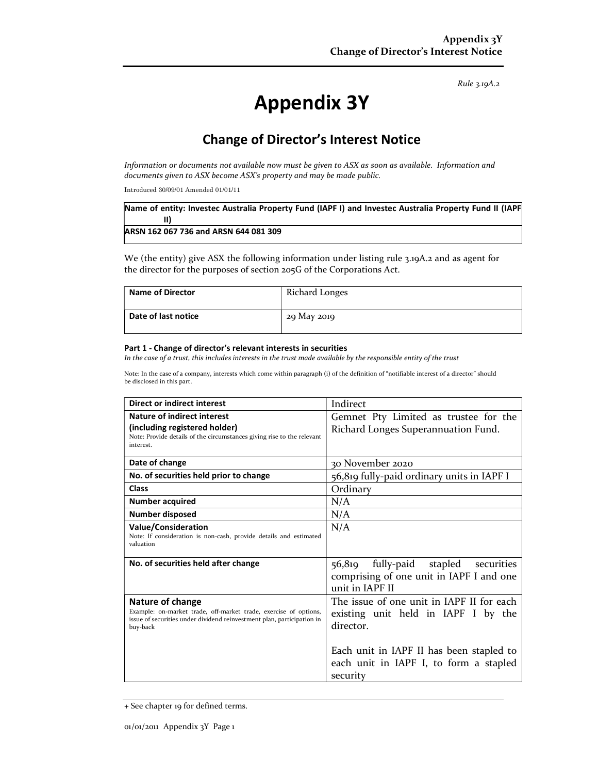Rule 3.19A.2

# Appendix 3Y

## Change of Director's Interest Notice

Information or documents not available now must be given to ASX as soon as available. Information and documents given to ASX become ASX's property and may be made public.

Introduced 30/09/01 Amended 01/01/11

Name of entity: Investec Australia Property Fund (IAPF I) and Investec Australia Property Fund II (IAPF II)

#### ARSN 162 067 736 and ARSN 644 081 309

We (the entity) give ASX the following information under listing rule 3.19A.2 and as agent for the director for the purposes of section 205G of the Corporations Act.

| <b>Name of Director</b> | Richard Longes |
|-------------------------|----------------|
| Date of last notice     | 29 May 2019    |

#### Part 1 - Change of director's relevant interests in securities

In the case of a trust, this includes interests in the trust made available by the responsible entity of the trust

Note: In the case of a company, interests which come within paragraph (i) of the definition of "notifiable interest of a director" should be disclosed in this part.

| <b>Direct or indirect interest</b>                                                                                                                                         | Indirect                                                                                                  |
|----------------------------------------------------------------------------------------------------------------------------------------------------------------------------|-----------------------------------------------------------------------------------------------------------|
| <b>Nature of indirect interest</b><br>(including registered holder)<br>Note: Provide details of the circumstances giving rise to the relevant<br>interest.                 | Gemnet Pty Limited as trustee for the<br>Richard Longes Superannuation Fund.                              |
| Date of change                                                                                                                                                             | 30 November 2020                                                                                          |
| No. of securities held prior to change                                                                                                                                     | 56,819 fully-paid ordinary units in IAPF I                                                                |
| Class                                                                                                                                                                      | Ordinary                                                                                                  |
| <b>Number acquired</b>                                                                                                                                                     | N/A                                                                                                       |
| Number disposed                                                                                                                                                            | N/A                                                                                                       |
| <b>Value/Consideration</b><br>Note: If consideration is non-cash, provide details and estimated<br>valuation                                                               | N/A                                                                                                       |
| No. of securities held after change                                                                                                                                        | fully-paid stapled<br>securities<br>56,819<br>comprising of one unit in IAPF I and one<br>unit in IAPF II |
| Nature of change<br>Example: on-market trade, off-market trade, exercise of options,<br>issue of securities under dividend reinvestment plan, participation in<br>buy-back | The issue of one unit in IAPF II for each<br>existing unit held in IAPF I by the<br>director.             |
|                                                                                                                                                                            | Each unit in IAPF II has been stapled to<br>each unit in IAPF I, to form a stapled<br>security            |

+ See chapter 19 for defined terms.